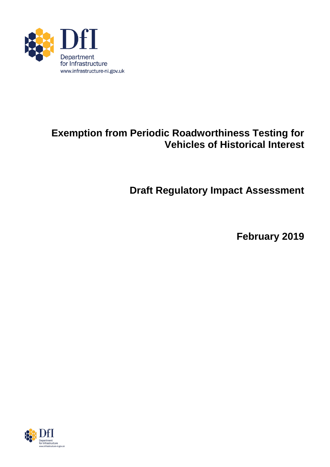

# **Exemption from Periodic Roadworthiness Testing for Vehicles of Historical Interest**

**Draft Regulatory Impact Assessment**

**February 2019**

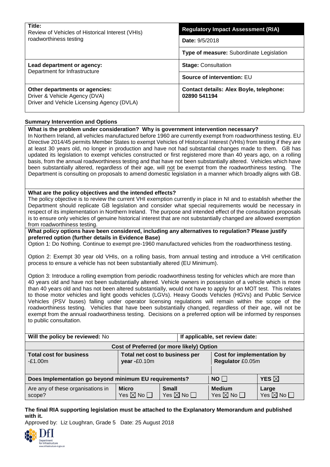| Title:<br>Review of Vehicles of Historical Interest (VHIs)<br>roadworthiness testing                          | <b>Regulatory Impact Assessment (RIA)</b>                      |  |  |
|---------------------------------------------------------------------------------------------------------------|----------------------------------------------------------------|--|--|
|                                                                                                               | <b>Date: 9/5/2018</b>                                          |  |  |
|                                                                                                               | <b>Type of measure: Subordinate Legislation</b>                |  |  |
| Lead department or agency:<br>Department for Infrastructure                                                   | <b>Stage: Consultation</b>                                     |  |  |
|                                                                                                               | Source of intervention: EU                                     |  |  |
| Other departments or agencies:<br>Driver & Vehicle Agency (DVA)<br>Driver and Vehicle Licensing Agency (DVLA) | <b>Contact details: Alex Boyle, telephone:</b><br>02890 541194 |  |  |

#### **Summary Intervention and Options**

#### **What is the problem under consideration? Why is government intervention necessary?**

In Northern Ireland, all vehicles manufactured before 1960 are currently exempt from roadworthiness testing. EU Directive 2014/45 permits Member States to exempt Vehicles of Historical Interest (VHIs) from testing if they are at least 30 years old, no longer in production and have not had substantial changes made to them. GB has updated its legislation to exempt vehicles constructed or first registered more than 40 years ago, on a rolling basis, from the annual roadworthiness testing and that have not been substantially altered. Vehicles which have been substantially altered, regardless of their age, will not be exempt from the roadworthiness testing. The Department is consulting on proposals to amend domestic legislation in a manner which broadly aligns with GB.

#### **What are the policy objectives and the intended effects?**

The policy objective is to review the current VHI exemption currently in place in NI and to establish whether the Department should replicate GB legislation and consider what special requirements would be necessary in respect of its implementation in Northern Ireland. The purpose and intended effect of the consultation proposals is to ensure only vehicles of genuine historical interest that are not substantially changed are allowed exemption from roadworthiness testing.

#### **What policy options have been considered, including any alternatives to regulation? Please justify preferred option (further details in Evidence Base)**

Option 1: Do Nothing. Continue to exempt pre-1960 manufactured vehicles from the roadworthiness testing.

Option 2: Exempt 30 year old VHIs, on a rolling basis, from annual testing and introduce a VHI certification process to ensure a vehicle has not been substantially altered (EU Minimum).

Option 3: Introduce a rolling exemption from periodic roadworthiness testing for vehicles which are more than 40 years old and have not been substantially altered. Vehicle owners in possession of a vehicle which is more than 40 years old and has not been altered substantially, would not have to apply for an MOT test. This relates to those motor vehicles and light goods vehicles (LGVs). Heavy Goods Vehicles (HGVs) and Public Service Vehicles (PSV buses) falling under operator licensing regulations will remain within the scope of the roadworthiness testing. Vehicles that have been substantially changed, regardless of their age, will not be exempt from the annual roadworthiness testing. Decisions on a preferred option will be informed by responses to public consultation.

| Will the policy be reviewed: No                        |                                                |                                           | If applicable, set review date:                |                                       |  |
|--------------------------------------------------------|------------------------------------------------|-------------------------------------------|------------------------------------------------|---------------------------------------|--|
| Cost of Preferred (or more likely) Option              |                                                |                                           |                                                |                                       |  |
| <b>Total cost for business</b><br>$-E1.00m$            | Total net cost to business per<br>year -£0.10m |                                           | Cost for implementation by<br>Regulator £0.05m |                                       |  |
|                                                        |                                                |                                           |                                                |                                       |  |
| Does Implementation go beyond minimum EU requirements? |                                                |                                           | NO                                             | <b>YES</b> $\boxtimes$                |  |
| Are any of these organisations in<br>scope?            | <b>Micro</b><br>Yes $\boxtimes$ No $\Box$      | <b>Small</b><br>Yes $\boxtimes$ No $\Box$ | <b>Medium</b><br>Yes $\boxtimes$ No $\Box$     | Large<br>Yes $\boxtimes$ No $\square$ |  |

#### **The final RIA supporting legislation must be attached to the Explanatory Memorandum and published with it.**

Approved by: Liz Loughran, Grade 5 Date: 25 August 2018

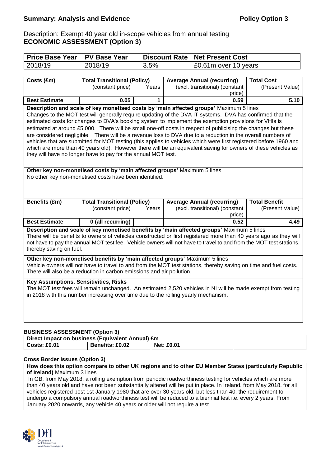Description: Exempt 40 year old in-scope vehicles from annual testing **ECONOMIC ASSESSMENT (Option 3)**

| <b>Price Base Year</b>                                                                                                                                                                         | <b>PV Base Year</b>                                                                                               |       | <b>Discount Rate</b> | <b>Net Present Cost</b>           |                      |
|------------------------------------------------------------------------------------------------------------------------------------------------------------------------------------------------|-------------------------------------------------------------------------------------------------------------------|-------|----------------------|-----------------------------------|----------------------|
| 2018/19                                                                                                                                                                                        | 2018/19                                                                                                           | 3.5%  |                      | £0.61m over 10 years              |                      |
|                                                                                                                                                                                                |                                                                                                                   |       |                      |                                   |                      |
| Costs (£m)                                                                                                                                                                                     | <b>Total Transitional (Policy)</b>                                                                                |       |                      | <b>Average Annual (recurring)</b> | <b>Total Cost</b>    |
|                                                                                                                                                                                                | (constant price)                                                                                                  | Years |                      | (excl. transitional) (constant    | (Present Value)      |
|                                                                                                                                                                                                |                                                                                                                   |       |                      | price)                            |                      |
| <b>Best Estimate</b>                                                                                                                                                                           | 0.05                                                                                                              | 1     |                      | 0.59                              | 5.10                 |
|                                                                                                                                                                                                | Description and scale of key monetised costs by 'main affected groups' Maximum 5 lines                            |       |                      |                                   |                      |
|                                                                                                                                                                                                | Changes to the MOT test will generally require updating of the DVA IT systems. DVA has confirmed that the         |       |                      |                                   |                      |
|                                                                                                                                                                                                | estimated costs for changes to DVA's booking system to implement the exemption provisions for VHIs is             |       |                      |                                   |                      |
|                                                                                                                                                                                                | estimated at around £5,000. There will be small one-off costs in respect of publicising the changes but these     |       |                      |                                   |                      |
|                                                                                                                                                                                                | are considered negligible. There will be a revenue loss to DVA due to a reduction in the overall numbers of       |       |                      |                                   |                      |
|                                                                                                                                                                                                | vehicles that are submitted for MOT testing (this applies to vehicles which were first registered before 1960 and |       |                      |                                   |                      |
|                                                                                                                                                                                                | which are more than 40 years old). However there will be an equivalent saving for owners of these vehicles as     |       |                      |                                   |                      |
|                                                                                                                                                                                                | they will have no longer have to pay for the annual MOT test.                                                     |       |                      |                                   |                      |
|                                                                                                                                                                                                |                                                                                                                   |       |                      |                                   |                      |
|                                                                                                                                                                                                | Other key non-monetised costs by 'main affected groups' Maximum 5 lines                                           |       |                      |                                   |                      |
|                                                                                                                                                                                                | No other key non-monetised costs have been identified.                                                            |       |                      |                                   |                      |
|                                                                                                                                                                                                |                                                                                                                   |       |                      |                                   |                      |
|                                                                                                                                                                                                |                                                                                                                   |       |                      |                                   |                      |
| Benefits (£m)                                                                                                                                                                                  | <b>Total Transitional (Policy)</b>                                                                                |       |                      | <b>Average Annual (recurring)</b> | <b>Total Benefit</b> |
|                                                                                                                                                                                                | (constant price)                                                                                                  | Years |                      | (excl. transitional) (constant    | (Present Value)      |
|                                                                                                                                                                                                |                                                                                                                   |       |                      | price)                            |                      |
| <b>Best Estimate</b>                                                                                                                                                                           | 0 (all recurring)                                                                                                 |       |                      | 0.52                              | 4.49                 |
|                                                                                                                                                                                                | Description and scale of key monetised benefits by 'main affected groups' Maximum 5 lines                         |       |                      |                                   |                      |
|                                                                                                                                                                                                | There will be benefits to owners of vehicles constructed or first registered more than 40 years ago as they will  |       |                      |                                   |                      |
| not have to pay the annual MOT test fee. Vehicle owners will not have to travel to and from the MOT test stations,                                                                             |                                                                                                                   |       |                      |                                   |                      |
| thereby saving on fuel.                                                                                                                                                                        |                                                                                                                   |       |                      |                                   |                      |
|                                                                                                                                                                                                |                                                                                                                   |       |                      |                                   |                      |
| Other key non-monetised benefits by 'main affected groups' Maximum 5 lines<br>Vehicle owners will not have to travel to and from the MOT test stations, thereby saving on time and fuel costs. |                                                                                                                   |       |                      |                                   |                      |
| There will also be a reduction in carbon emissions and air pollution.                                                                                                                          |                                                                                                                   |       |                      |                                   |                      |
|                                                                                                                                                                                                |                                                                                                                   |       |                      |                                   |                      |
|                                                                                                                                                                                                | Key Assumptions, Sensitivities, Risks                                                                             |       |                      |                                   |                      |
|                                                                                                                                                                                                | The MOT test fees will remain unchanged. An estimated 2,520 vehicles in NI will be made exempt from testing       |       |                      |                                   |                      |
|                                                                                                                                                                                                | in 2018 with this number increasing over time due to the rolling yearly mechanism.                                |       |                      |                                   |                      |
|                                                                                                                                                                                                |                                                                                                                   |       |                      |                                   |                      |
|                                                                                                                                                                                                |                                                                                                                   |       |                      |                                   |                      |
|                                                                                                                                                                                                |                                                                                                                   |       |                      |                                   |                      |

#### **BUSINESS ASSESSMENT (Option 3)**

| Direct Impact on business (Equivalent Annual) £m |                        |                   |  |  |
|--------------------------------------------------|------------------------|-------------------|--|--|
| <b>Costs: £0.01</b>                              | <b>Benefits: £0.02</b> | <b>Net: £0.01</b> |  |  |

#### **Cross Border Issues (Option 3)**

**How does this option compare to other UK regions and to other EU Member States (particularly Republic of Ireland)** Maximum 3 lines

In GB, from May 2018, a rolling exemption from periodic roadworthiness testing for vehicles which are more than 40 years old and have not been substantially altered will be put in place. In Ireland, from May 2018, for all vehicles registered post 1st January 1980 that are over 30 years old, but less than 40, the requirement to undergo a compulsory annual roadworthiness test will be reduced to a biennial test i.e. every 2 years. From January 2020 onwards, any vehicle 40 years or older will not require a test.

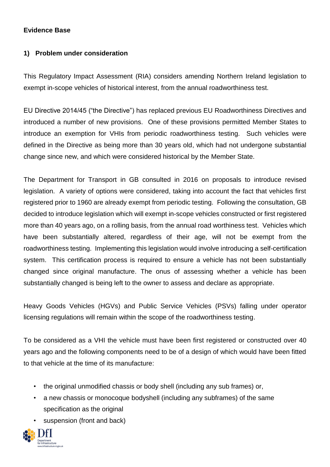# **Evidence Base**

### **1) Problem under consideration**

This Regulatory Impact Assessment (RIA) considers amending Northern Ireland legislation to exempt in-scope vehicles of historical interest, from the annual roadworthiness test.

EU Directive 2014/45 ("the Directive") has replaced previous EU Roadworthiness Directives and introduced a number of new provisions. One of these provisions permitted Member States to introduce an exemption for VHIs from periodic roadworthiness testing. Such vehicles were defined in the Directive as being more than 30 years old, which had not undergone substantial change since new, and which were considered historical by the Member State.

The Department for Transport in GB consulted in 2016 on proposals to introduce revised legislation. A variety of options were considered, taking into account the fact that vehicles first registered prior to 1960 are already exempt from periodic testing. Following the consultation, GB decided to introduce legislation which will exempt in-scope vehicles constructed or first registered more than 40 years ago, on a rolling basis, from the annual road worthiness test. Vehicles which have been substantially altered, regardless of their age, will not be exempt from the roadworthiness testing. Implementing this legislation would involve introducing a self-certification system. This certification process is required to ensure a vehicle has not been substantially changed since original manufacture. The onus of assessing whether a vehicle has been substantially changed is being left to the owner to assess and declare as appropriate.

Heavy Goods Vehicles (HGVs) and Public Service Vehicles (PSVs) falling under operator licensing regulations will remain within the scope of the roadworthiness testing.

To be considered as a VHI the vehicle must have been first registered or constructed over 40 years ago and the following components need to be of a design of which would have been fitted to that vehicle at the time of its manufacture:

- the original unmodified chassis or body shell (including any sub frames) or,
- a new chassis or monocoque bodyshell (including any subframes) of the same specification as the original
- suspension (front and back)

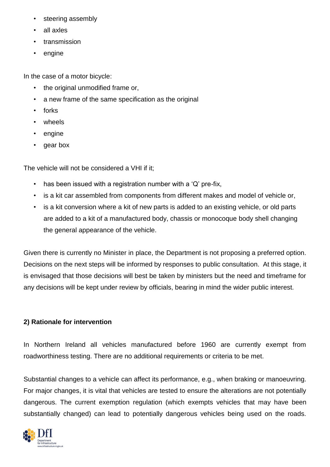- steering assembly
- all axles
- transmission
- engine

In the case of a motor bicycle:

- the original unmodified frame or,
- a new frame of the same specification as the original
- forks
- wheels
- engine
- gear box

The vehicle will not be considered a VHI if it;

- has been issued with a registration number with a 'Q' pre-fix,
- is a kit car assembled from components from different makes and model of vehicle or,
- is a kit conversion where a kit of new parts is added to an existing vehicle, or old parts are added to a kit of a manufactured body, chassis or monocoque body shell changing the general appearance of the vehicle.

Given there is currently no Minister in place, the Department is not proposing a preferred option. Decisions on the next steps will be informed by responses to public consultation. At this stage, it is envisaged that those decisions will best be taken by ministers but the need and timeframe for any decisions will be kept under review by officials, bearing in mind the wider public interest.

# **2) Rationale for intervention**

In Northern Ireland all vehicles manufactured before 1960 are currently exempt from roadworthiness testing. There are no additional requirements or criteria to be met.

Substantial changes to a vehicle can affect its performance, e.g., when braking or manoeuvring. For major changes, it is vital that vehicles are tested to ensure the alterations are not potentially dangerous. The current exemption regulation (which exempts vehicles that may have been substantially changed) can lead to potentially dangerous vehicles being used on the roads.

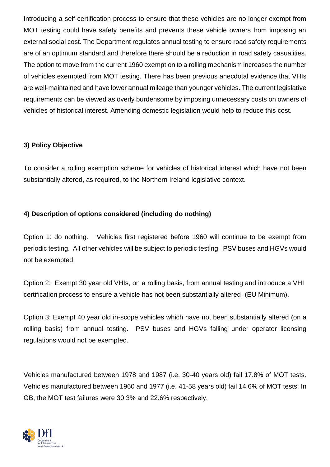Introducing a self-certification process to ensure that these vehicles are no longer exempt from MOT testing could have safety benefits and prevents these vehicle owners from imposing an external social cost. The Department regulates annual testing to ensure road safety requirements are of an optimum standard and therefore there should be a reduction in road safety casualities. The option to move from the current 1960 exemption to a rolling mechanism increases the number of vehicles exempted from MOT testing. There has been previous anecdotal evidence that VHIs are well-maintained and have lower annual mileage than younger vehicles. The current legislative requirements can be viewed as overly burdensome by imposing unnecessary costs on owners of vehicles of historical interest. Amending domestic legislation would help to reduce this cost.

# **3) Policy Objective**

To consider a rolling exemption scheme for vehicles of historical interest which have not been substantially altered, as required, to the Northern Ireland legislative context.

# **4) Description of options considered (including do nothing)**

Option 1: do nothing. Vehicles first registered before 1960 will continue to be exempt from periodic testing. All other vehicles will be subject to periodic testing. PSV buses and HGVs would not be exempted.

Option 2: Exempt 30 year old VHIs, on a rolling basis, from annual testing and introduce a VHI certification process to ensure a vehicle has not been substantially altered. (EU Minimum).

Option 3: Exempt 40 year old in-scope vehicles which have not been substantially altered (on a rolling basis) from annual testing. PSV buses and HGVs falling under operator licensing regulations would not be exempted.

Vehicles manufactured between 1978 and 1987 (i.e. 30-40 years old) fail 17.8% of MOT tests. Vehicles manufactured between 1960 and 1977 (i.e. 41-58 years old) fail 14.6% of MOT tests. In GB, the MOT test failures were 30.3% and 22.6% respectively.

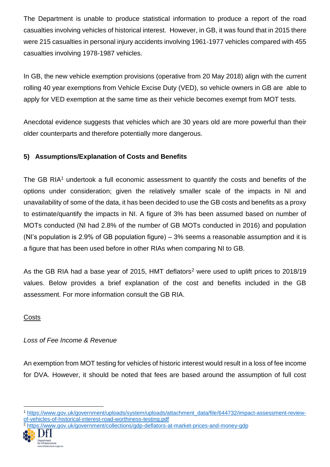The Department is unable to produce statistical information to produce a report of the road casualties involving vehicles of historical interest. However, in GB, it was found that in 2015 there were 215 casualties in personal injury accidents involving 1961-1977 vehicles compared with 455 casualties involving 1978-1987 vehicles.

In GB, the new vehicle exemption provisions (operative from 20 May 2018) align with the current rolling 40 year exemptions from Vehicle Excise Duty (VED), so vehicle owners in GB are able to apply for VED exemption at the same time as their vehicle becomes exempt from MOT tests.

Anecdotal evidence suggests that vehicles which are 30 years old are more powerful than their older counterparts and therefore potentially more dangerous.

# **5) Assumptions/Explanation of Costs and Benefits**

The GB RIA<sup>1</sup> undertook a full economic assessment to quantify the costs and benefits of the options under consideration; given the relatively smaller scale of the impacts in NI and unavailability of some of the data, it has been decided to use the GB costs and benefits as a proxy to estimate/quantify the impacts in NI. A figure of 3% has been assumed based on number of MOTs conducted (NI had 2.8% of the number of GB MOTs conducted in 2016) and population (NI's population is 2.9% of GB population figure) – 3% seems a reasonable assumption and it is a figure that has been used before in other RIAs when comparing NI to GB.

As the GB RIA had a base year of 2015. HMT deflators<sup>2</sup> were used to uplift prices to 2018/19 values. Below provides a brief explanation of the cost and benefits included in the GB assessment. For more information consult the GB RIA.

# **Costs**

# *Loss of Fee Income & Revenue*

An exemption from MOT testing for vehicles of historic interest would result in a loss of fee income for DVA. However, it should be noted that fees are based around the assumption of full cost

<sup>2</sup> <https://www.gov.uk/government/collections/gdp-deflators-at-market-prices-and-money-gdp>



l

<sup>1</sup> [https://www.gov.uk/government/uploads/system/uploads/attachment\\_data/file/644732/impact-assessment-review](https://www.gov.uk/government/uploads/system/uploads/attachment_data/file/644732/impact-assessment-review-of-vehicles-of-historical-interest-road-worthiness-testing.pdf)[of-vehicles-of-historical-interest-road-worthiness-testing.pdf](https://www.gov.uk/government/uploads/system/uploads/attachment_data/file/644732/impact-assessment-review-of-vehicles-of-historical-interest-road-worthiness-testing.pdf)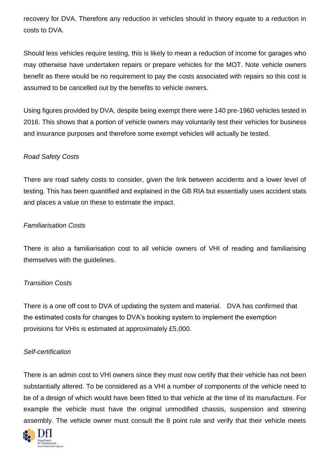recovery for DVA. Therefore any reduction in vehicles should in theory equate to a reduction in costs to DVA.

Should less vehicles require testing, this is likely to mean a reduction of income for garages who may otherwise have undertaken repairs or prepare vehicles for the MOT. Note vehicle owners benefit as there would be no requirement to pay the costs associated with repairs so this cost is assumed to be cancelled out by the benefits to vehicle owners.

Using figures provided by DVA, despite being exempt there were 140 pre-1960 vehicles tested in 2016. This shows that a portion of vehicle owners may voluntarily test their vehicles for business and insurance purposes and therefore some exempt vehicles will actually be tested.

# *Road Safety Costs*

There are road safety costs to consider, given the link between accidents and a lower level of testing. This has been quantified and explained in the GB RIA but essentially uses accident stats and places a value on these to estimate the impact.

# *Familiarisation Costs*

There is also a familiarisation cost to all vehicle owners of VHI of reading and familiarising themselves with the guidelines.

# *Transition Costs*

There is a one off cost to DVA of updating the system and material. DVA has confirmed that the estimated costs for changes to DVA's booking system to implement the exemption provisions for VHIs is estimated at approximately £5,000.

# *Self-certification*

There is an admin cost to VHI owners since they must now certify that their vehicle has not been substantially altered. To be considered as a VHI a number of components of the vehicle need to be of a design of which would have been fitted to that vehicle at the time of its manufacture. For example the vehicle must have the original unmodified chassis, suspension and steering assembly. The vehicle owner must consult the 8 point rule and verify that their vehicle meets

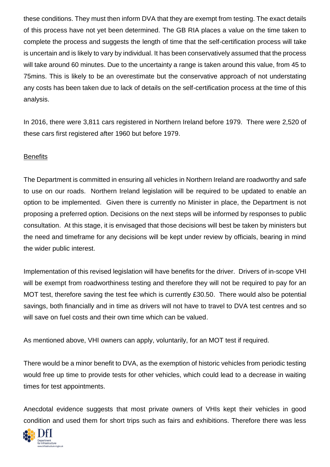these conditions. They must then inform DVA that they are exempt from testing. The exact details of this process have not yet been determined. The GB RIA places a value on the time taken to complete the process and suggests the length of time that the self-certification process will take is uncertain and is likely to vary by individual. It has been conservatively assumed that the process will take around 60 minutes. Due to the uncertainty a range is taken around this value, from 45 to 75mins. This is likely to be an overestimate but the conservative approach of not understating any costs has been taken due to lack of details on the self-certification process at the time of this analysis.

In 2016, there were 3,811 cars registered in Northern Ireland before 1979. There were 2,520 of these cars first registered after 1960 but before 1979.

### **Benefits**

The Department is committed in ensuring all vehicles in Northern Ireland are roadworthy and safe to use on our roads. Northern Ireland legislation will be required to be updated to enable an option to be implemented. Given there is currently no Minister in place, the Department is not proposing a preferred option. Decisions on the next steps will be informed by responses to public consultation. At this stage, it is envisaged that those decisions will best be taken by ministers but the need and timeframe for any decisions will be kept under review by officials, bearing in mind the wider public interest.

Implementation of this revised legislation will have benefits for the driver. Drivers of in-scope VHI will be exempt from roadworthiness testing and therefore they will not be required to pay for an MOT test, therefore saving the test fee which is currently £30.50. There would also be potential savings, both financially and in time as drivers will not have to travel to DVA test centres and so will save on fuel costs and their own time which can be valued.

As mentioned above, VHI owners can apply, voluntarily, for an MOT test if required.

There would be a minor benefit to DVA, as the exemption of historic vehicles from periodic testing would free up time to provide tests for other vehicles, which could lead to a decrease in waiting times for test appointments.

Anecdotal evidence suggests that most private owners of VHIs kept their vehicles in good condition and used them for short trips such as fairs and exhibitions. Therefore there was less

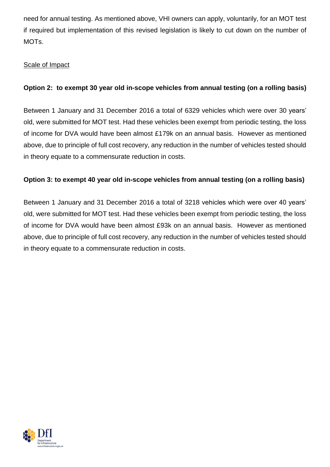need for annual testing. As mentioned above, VHI owners can apply, voluntarily, for an MOT test if required but implementation of this revised legislation is likely to cut down on the number of MOTs.

# Scale of Impact

# **Option 2: to exempt 30 year old in-scope vehicles from annual testing (on a rolling basis)**

Between 1 January and 31 December 2016 a total of 6329 vehicles which were over 30 years' old, were submitted for MOT test. Had these vehicles been exempt from periodic testing, the loss of income for DVA would have been almost £179k on an annual basis. However as mentioned above, due to principle of full cost recovery, any reduction in the number of vehicles tested should in theory equate to a commensurate reduction in costs.

# **Option 3: to exempt 40 year old in-scope vehicles from annual testing (on a rolling basis)**

Between 1 January and 31 December 2016 a total of 3218 vehicles which were over 40 years' old, were submitted for MOT test. Had these vehicles been exempt from periodic testing, the loss of income for DVA would have been almost £93k on an annual basis. However as mentioned above, due to principle of full cost recovery, any reduction in the number of vehicles tested should in theory equate to a commensurate reduction in costs.

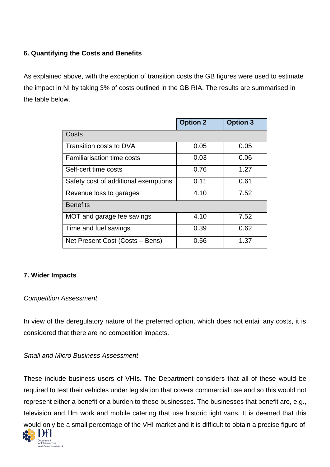# **6. Quantifying the Costs and Benefits**

As explained above, with the exception of transition costs the GB figures were used to estimate the impact in NI by taking 3% of costs outlined in the GB RIA. The results are summarised in the table below.

|                                      | <b>Option 2</b> | <b>Option 3</b> |
|--------------------------------------|-----------------|-----------------|
| Costs                                |                 |                 |
| Transition costs to DVA              | 0.05            | 0.05            |
| <b>Familiarisation time costs</b>    | 0.03            | 0.06            |
| Self-cert time costs                 | 0.76            | 1.27            |
| Safety cost of additional exemptions | 0.11            | 0.61            |
| Revenue loss to garages              | 4.10            | 7.52            |
| <b>Benefits</b>                      |                 |                 |
| MOT and garage fee savings           | 4.10            | 7.52            |
| Time and fuel savings                | 0.39            | 0.62            |
| Net Present Cost (Costs – Bens)      | 0.56            | 1.37            |

# **7. Wider Impacts**

# *Competition Assessment*

In view of the deregulatory nature of the preferred option, which does not entail any costs, it is considered that there are no competition impacts.

# *Small and Micro Business Assessment*

These include business users of VHIs. The Department considers that all of these would be required to test their vehicles under legislation that covers commercial use and so this would not represent either a benefit or a burden to these businesses. The businesses that benefit are, e.g., television and film work and mobile catering that use historic light vans. It is deemed that this would only be a small percentage of the VHI market and it is difficult to obtain a precise figure of